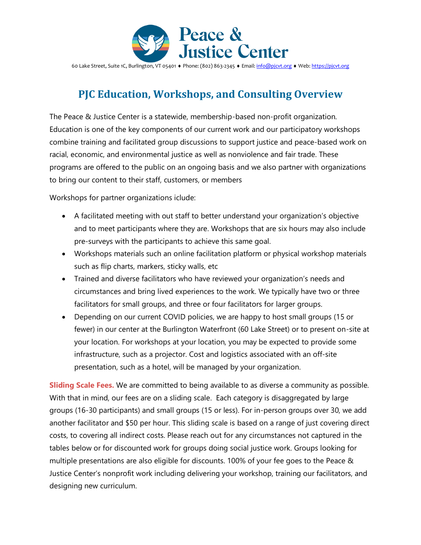

60 Lake Street, Suite 1C, Burlington, VT 05401 • Phone: (802) 863-2345 • Email[: info@pjcvt.org](mailto:info@pjcvt.org) • Web[: https://pjcvt.org](https://pjcvt.org/)

### **PJC Education, Workshops, and Consulting Overview**

The Peace & Justice Center is a statewide, membership-based non-profit organization. Education is one of the key components of our current work and our participatory workshops combine training and facilitated group discussions to support justice and peace-based work on racial, economic, and environmental justice as well as nonviolence and fair trade. These programs are offered to the public on an ongoing basis and we also partner with organizations to bring our content to their staff, customers, or members

Workshops for partner organizations iclude:

- A facilitated meeting with out staff to better understand your organization's objective and to meet participants where they are. Workshops that are six hours may also include pre-surveys with the participants to achieve this same goal.
- Workshops materials such an online facilitation platform or physical workshop materials such as flip charts, markers, sticky walls, etc
- Trained and diverse facilitators who have reviewed your organization's needs and circumstances and bring lived experiences to the work. We typically have two or three facilitators for small groups, and three or four facilitators for larger groups.
- Depending on our current COVID policies, we are happy to host small groups (15 or fewer) in our center at the Burlington Waterfront (60 Lake Street) or to present on-site at your location. For workshops at your location, you may be expected to provide some infrastructure, such as a projector. Cost and logistics associated with an off-site presentation, such as a hotel, will be managed by your organization.

**Sliding Scale Fees.** We are committed to being available to as diverse a community as possible. With that in mind, our fees are on a sliding scale. Each category is disaggregated by large groups (16-30 participants) and small groups (15 or less). For in-person groups over 30, we add another facilitator and \$50 per hour. This sliding scale is based on a range of just covering direct costs, to covering all indirect costs. Please reach out for any circumstances not captured in the tables below or for discounted work for groups doing social justice work. Groups looking for multiple presentations are also eligible for discounts. 100% of your fee goes to the Peace & Justice Center's nonprofit work including delivering your workshop, training our facilitators, and designing new curriculum.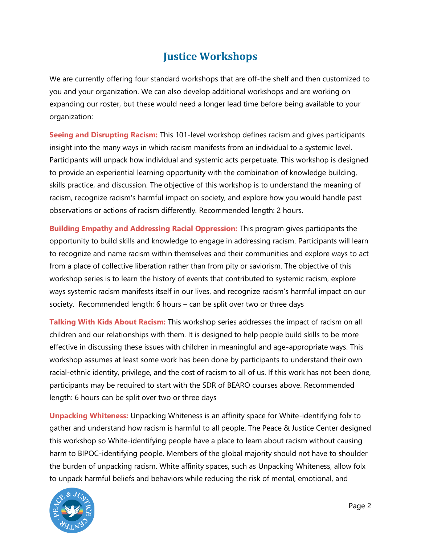#### **Justice Workshops**

We are currently offering four standard workshops that are off-the shelf and then customized to you and your organization. We can also develop additional workshops and are working on expanding our roster, but these would need a longer lead time before being available to your organization:

**Seeing and Disrupting Racism:** This 101-level workshop defines racism and gives participants insight into the many ways in which racism manifests from an individual to a systemic level. Participants will unpack how individual and systemic acts perpetuate. This workshop is designed to provide an experiential learning opportunity with the combination of knowledge building, skills practice, and discussion. The objective of this workshop is to understand the meaning of racism, recognize racism's harmful impact on society, and explore how you would handle past observations or actions of racism differently. Recommended length: 2 hours.

**Building Empathy and Addressing Racial Oppression:** This program gives participants the opportunity to build skills and knowledge to engage in addressing racism. Participants will learn to recognize and name racism within themselves and their communities and explore ways to act from a place of collective liberation rather than from pity or saviorism. The objective of this workshop series is to learn the history of events that contributed to systemic racism, explore ways systemic racism manifests itself in our lives, and recognize racism's harmful impact on our society. Recommended length: 6 hours – can be split over two or three days

**Talking With Kids About Racism:** This workshop series addresses the impact of racism on all children and our relationships with them. It is designed to help people build skills to be more effective in discussing these issues with children in meaningful and age-appropriate ways. This workshop assumes at least some work has been done by participants to understand their own racial-ethnic identity, privilege, and the cost of racism to all of us. If this work has not been done, participants may be required to start with the SDR of BEARO courses above. Recommended length: 6 hours can be split over two or three days

**Unpacking Whiteness:** Unpacking Whiteness is an affinity space for White-identifying folx to gather and understand how racism is harmful to all people. The Peace & Justice Center designed this workshop so White-identifying people have a place to learn about racism without causing harm to BIPOC-identifying people. Members of the global majority should not have to shoulder the burden of unpacking racism. White affinity spaces, such as Unpacking Whiteness, allow folx to unpack harmful beliefs and behaviors while reducing the risk of mental, emotional, and

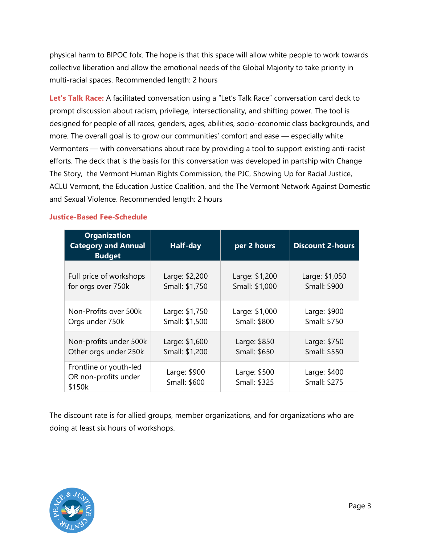physical harm to BIPOC folx. The hope is that this space will allow white people to work towards collective liberation and allow the emotional needs of the Global Majority to take priority in multi-racial spaces. Recommended length: 2 hours

**Let's Talk Race:** A facilitated conversation using a "Let's Talk Race" conversation card deck to prompt discussion about racism, privilege, intersectionality, and shifting power. The tool is designed for people of all races, genders, ages, abilities, socio-economic class backgrounds, and more. The overall goal is to grow our communities' comfort and ease — especially white Vermonters — with conversations about race by providing a tool to support existing anti-racist efforts. The deck that is the basis for this conversation was developed in partship with Change The Story, the Vermont Human Rights Commission, the PJC, Showing Up for Racial Justice, ACLU Vermont, the Education Justice Coalition, and the The Vermont Network Against Domestic and Sexual Violence. Recommended length: 2 hours

|  |  | <b>Justice-Based Fee-Schedule</b> |
|--|--|-----------------------------------|
|  |  |                                   |

| <b>Organization</b><br><b>Category and Annual</b><br><b>Budget</b> | Half-day                     | per 2 hours                  | <b>Discount 2-hours</b>      |
|--------------------------------------------------------------------|------------------------------|------------------------------|------------------------------|
| Full price of workshops                                            | Large: \$2,200               | Large: \$1,200               | Large: \$1,050               |
| for orgs over 750k                                                 | Small: \$1,750               | Small: \$1,000               | Small: \$900                 |
| Non-Profits over 500k                                              | Large: \$1,750               | Large: \$1,000               | Large: \$900                 |
| Orgs under 750k                                                    | Small: \$1,500               | Small: \$800                 | Small: \$750                 |
| Non-profits under 500k                                             | Large: \$1,600               | Large: \$850                 | Large: \$750                 |
| Other orgs under 250k                                              | Small: \$1,200               | Small: \$650                 | Small: \$550                 |
| Frontline or youth-led<br>OR non-profits under<br>\$150k           | Large: \$900<br>Small: \$600 | Large: \$500<br>Small: \$325 | Large: \$400<br>Small: \$275 |

The discount rate is for allied groups, member organizations, and for organizations who are doing at least six hours of workshops.

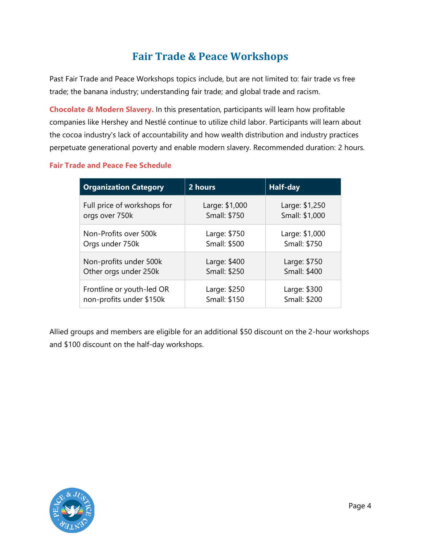# **Fair Trade & Peace Workshops**

Past Fair Trade and Peace Workshops topics include, but are not limited to: fair trade vs free trade; the banana industry; understanding fair trade; and global trade and racism.

**Chocolate & Modern Slavery.** In this presentation, participants will learn how profitable companies like Hershey and Nestlé continue to utilize child labor. Participants will learn about the cocoa industry's lack of accountability and how wealth distribution and industry practices perpetuate generational poverty and enable modern slavery. Recommended duration: 2 hours.

#### **Fair Trade and Peace Fee Schedule**

| <b>Organization Category</b> | 2 hours        | Half-day       |
|------------------------------|----------------|----------------|
| Full price of workshops for  | Large: \$1,000 | Large: \$1,250 |
| orgs over 750k               | Small: \$750   | Small: \$1,000 |
| Non-Profits over 500k        | Large: \$750   | Large: \$1,000 |
| Orgs under 750k              | Small: \$500   | Small: \$750   |
| Non-profits under 500k       | Large: \$400   | Large: \$750   |
| Other orgs under 250k        | Small: \$250   | Small: \$400   |
| Frontline or youth-led OR    | Large: \$250   | Large: \$300   |
| non-profits under \$150k     | Small: \$150   | Small: \$200   |

Allied groups and members are eligible for an additional \$50 discount on the 2-hour workshops and \$100 discount on the half-day workshops.